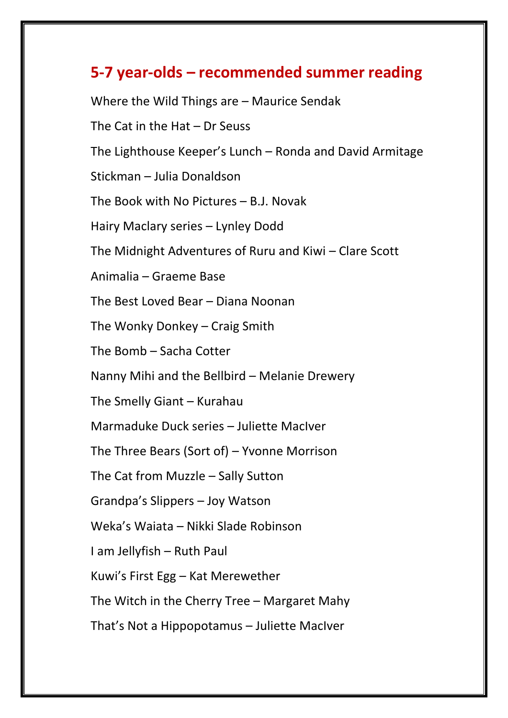## **5-7 year-olds – recommended summer reading**

Where the Wild Things are – Maurice Sendak The Cat in the Hat – Dr Seuss The Lighthouse Keeper's Lunch – Ronda and David Armitage Stickman – Julia Donaldson The Book with No Pictures – B.J. Novak Hairy Maclary series – Lynley Dodd The Midnight Adventures of Ruru and Kiwi – Clare Scott Animalia – Graeme Base The Best Loved Bear – Diana Noonan The Wonky Donkey – Craig Smith The Bomb – Sacha Cotter Nanny Mihi and the Bellbird – Melanie Drewery The Smelly Giant – Kurahau Marmaduke Duck series – Juliette MacIver The Three Bears (Sort of) – Yvonne Morrison The Cat from Muzzle – Sally Sutton Grandpa's Slippers – Joy Watson Weka's Waiata – Nikki Slade Robinson I am Jellyfish – Ruth Paul Kuwi's First Egg – Kat Merewether The Witch in the Cherry Tree – Margaret Mahy That's Not a Hippopotamus – Juliette MacIver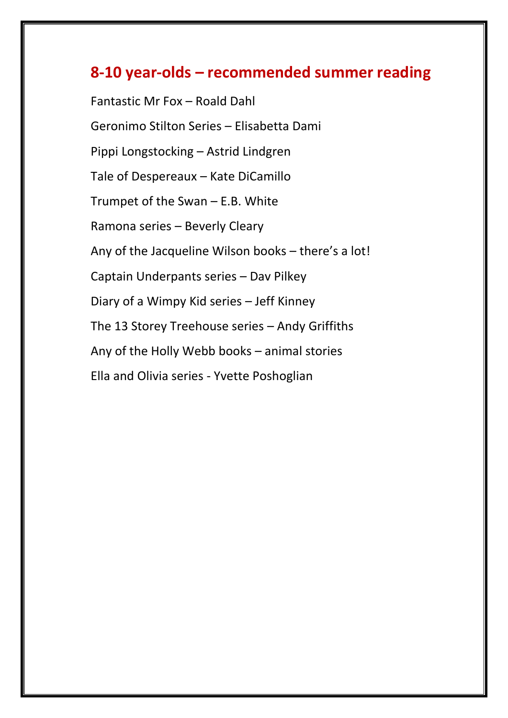## **8-10 year-olds – recommended summer reading**

Fantastic Mr Fox – Roald Dahl Geronimo Stilton Series – Elisabetta Dami Pippi Longstocking – Astrid Lindgren Tale of Despereaux – Kate DiCamillo Trumpet of the Swan – E.B. White Ramona series – Beverly Cleary Any of the Jacqueline Wilson books – there's a lot! Captain Underpants series – Dav Pilkey Diary of a Wimpy Kid series – Jeff Kinney The 13 Storey Treehouse series – Andy Griffiths Any of the Holly Webb books – animal stories Ella and Olivia series - Yvette Poshoglian